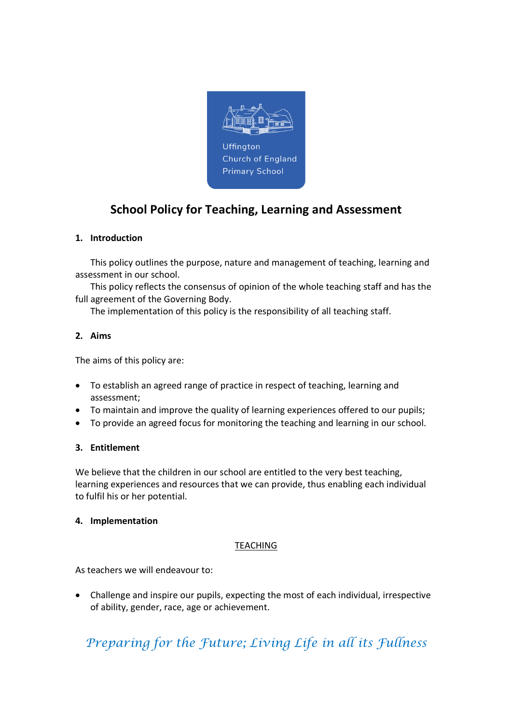

## School Policy for Teaching, Learning and Assessment

## 1. Introduction

This policy outlines the purpose, nature and management of teaching, learning and assessment in our school.

This policy reflects the consensus of opinion of the whole teaching staff and has the full agreement of the Governing Body.

The implementation of this policy is the responsibility of all teaching staff.

### 2. Aims

The aims of this policy are:

- To establish an agreed range of practice in respect of teaching, learning and assessment;
- To maintain and improve the quality of learning experiences offered to our pupils;
- To provide an agreed focus for monitoring the teaching and learning in our school.

### 3. Entitlement

We believe that the children in our school are entitled to the very best teaching, learning experiences and resources that we can provide, thus enabling each individual to fulfil his or her potential.

### 4. Implementation

### TEACHING

As teachers we will endeavour to:

 Challenge and inspire our pupils, expecting the most of each individual, irrespective of ability, gender, race, age or achievement.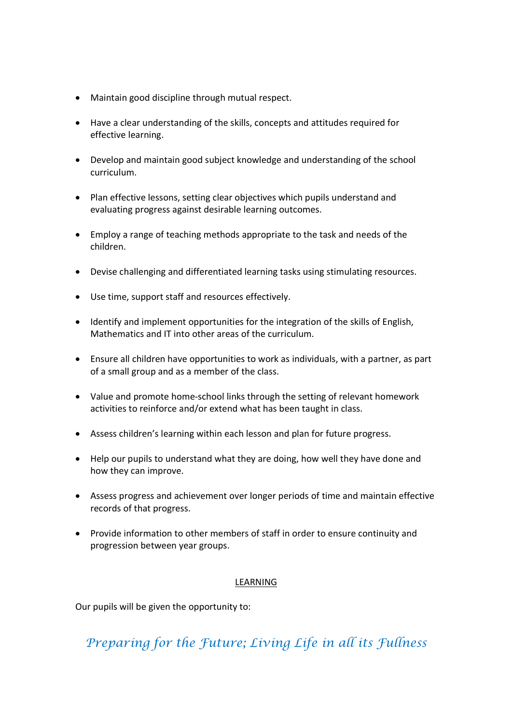- Maintain good discipline through mutual respect.
- Have a clear understanding of the skills, concepts and attitudes required for effective learning.
- Develop and maintain good subject knowledge and understanding of the school curriculum.
- Plan effective lessons, setting clear objectives which pupils understand and evaluating progress against desirable learning outcomes.
- Employ a range of teaching methods appropriate to the task and needs of the children.
- Devise challenging and differentiated learning tasks using stimulating resources.
- Use time, support staff and resources effectively.
- Identify and implement opportunities for the integration of the skills of English, Mathematics and IT into other areas of the curriculum.
- Ensure all children have opportunities to work as individuals, with a partner, as part of a small group and as a member of the class.
- Value and promote home-school links through the setting of relevant homework activities to reinforce and/or extend what has been taught in class.
- Assess children's learning within each lesson and plan for future progress.
- Help our pupils to understand what they are doing, how well they have done and how they can improve.
- Assess progress and achievement over longer periods of time and maintain effective records of that progress.
- Provide information to other members of staff in order to ensure continuity and progression between year groups.

### LEARNING

Our pupils will be given the opportunity to: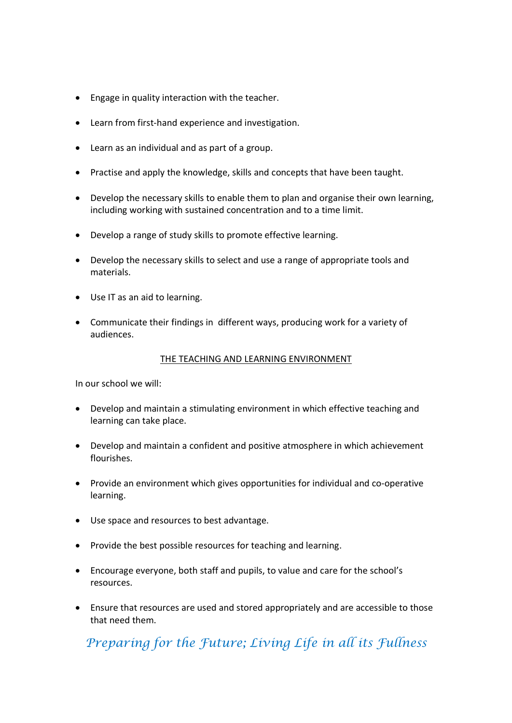- Engage in quality interaction with the teacher.
- Learn from first-hand experience and investigation.
- Learn as an individual and as part of a group.
- Practise and apply the knowledge, skills and concepts that have been taught.
- Develop the necessary skills to enable them to plan and organise their own learning, including working with sustained concentration and to a time limit.
- Develop a range of study skills to promote effective learning.
- Develop the necessary skills to select and use a range of appropriate tools and materials.
- Use IT as an aid to learning.
- Communicate their findings in different ways, producing work for a variety of audiences.

#### THE TEACHING AND LEARNING ENVIRONMENT

In our school we will:

- Develop and maintain a stimulating environment in which effective teaching and learning can take place.
- Develop and maintain a confident and positive atmosphere in which achievement flourishes.
- Provide an environment which gives opportunities for individual and co-operative learning.
- Use space and resources to best advantage.
- Provide the best possible resources for teaching and learning.
- Encourage everyone, both staff and pupils, to value and care for the school's resources.
- Ensure that resources are used and stored appropriately and are accessible to those that need them.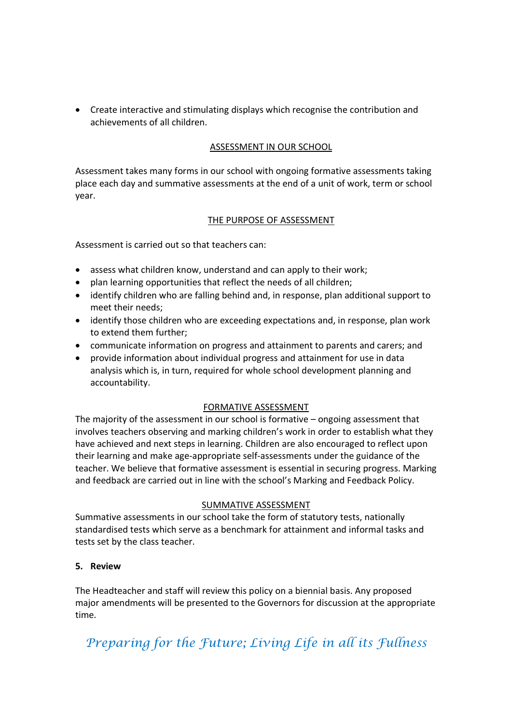Create interactive and stimulating displays which recognise the contribution and achievements of all children.

### ASSESSMENT IN OUR SCHOOL

Assessment takes many forms in our school with ongoing formative assessments taking place each day and summative assessments at the end of a unit of work, term or school year.

### THE PURPOSE OF ASSESSMENT

Assessment is carried out so that teachers can:

- assess what children know, understand and can apply to their work;
- plan learning opportunities that reflect the needs of all children;
- identify children who are falling behind and, in response, plan additional support to meet their needs;
- identify those children who are exceeding expectations and, in response, plan work to extend them further;
- communicate information on progress and attainment to parents and carers; and
- provide information about individual progress and attainment for use in data analysis which is, in turn, required for whole school development planning and accountability.

## FORMATIVE ASSESSMENT

The majority of the assessment in our school is formative – ongoing assessment that involves teachers observing and marking children's work in order to establish what they have achieved and next steps in learning. Children are also encouraged to reflect upon their learning and make age-appropriate self-assessments under the guidance of the teacher. We believe that formative assessment is essential in securing progress. Marking and feedback are carried out in line with the school's Marking and Feedback Policy.

### SUMMATIVE ASSESSMENT

Summative assessments in our school take the form of statutory tests, nationally standardised tests which serve as a benchmark for attainment and informal tasks and tests set by the class teacher.

## 5. Review

The Headteacher and staff will review this policy on a biennial basis. Any proposed major amendments will be presented to the Governors for discussion at the appropriate time.